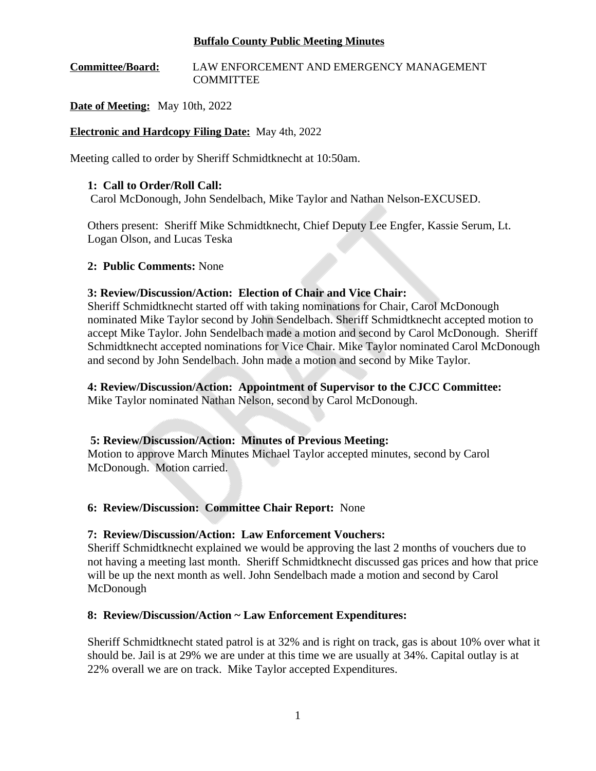#### **Buffalo County Public Meeting Minutes**

### **Committee/Board:** LAW ENFORCEMENT AND EMERGENCY MANAGEMENT COMMITTEE

### **Date of Meeting:** May 10th, 2022

### **Electronic and Hardcopy Filing Date:** May 4th, 2022

Meeting called to order by Sheriff Schmidtknecht at 10:50am.

### **1: Call to Order/Roll Call:**

Carol McDonough, John Sendelbach, Mike Taylor and Nathan Nelson-EXCUSED.

Others present: Sheriff Mike Schmidtknecht, Chief Deputy Lee Engfer, Kassie Serum, Lt. Logan Olson, and Lucas Teska

### **2: Public Comments:** None

### **3: Review/Discussion/Action: Election of Chair and Vice Chair:**

Sheriff Schmidtknecht started off with taking nominations for Chair, Carol McDonough nominated Mike Taylor second by John Sendelbach. Sheriff Schmidtknecht accepted motion to accept Mike Taylor. John Sendelbach made a motion and second by Carol McDonough. Sheriff Schmidtknecht accepted nominations for Vice Chair. Mike Taylor nominated Carol McDonough and second by John Sendelbach. John made a motion and second by Mike Taylor.

# **4: Review/Discussion/Action: Appointment of Supervisor to the CJCC Committee:**

Mike Taylor nominated Nathan Nelson, second by Carol McDonough.

### **5: Review/Discussion/Action: Minutes of Previous Meeting:**

Motion to approve March Minutes Michael Taylor accepted minutes, second by Carol McDonough. Motion carried.

### **6: Review/Discussion: Committee Chair Report:** None

### **7: Review/Discussion/Action: Law Enforcement Vouchers:**

Sheriff Schmidtknecht explained we would be approving the last 2 months of vouchers due to not having a meeting last month. Sheriff Schmidtknecht discussed gas prices and how that price will be up the next month as well. John Sendelbach made a motion and second by Carol McDonough

### **8: Review/Discussion/Action ~ Law Enforcement Expenditures:**

Sheriff Schmidtknecht stated patrol is at 32% and is right on track, gas is about 10% over what it should be. Jail is at 29% we are under at this time we are usually at 34%. Capital outlay is at 22% overall we are on track. Mike Taylor accepted Expenditures.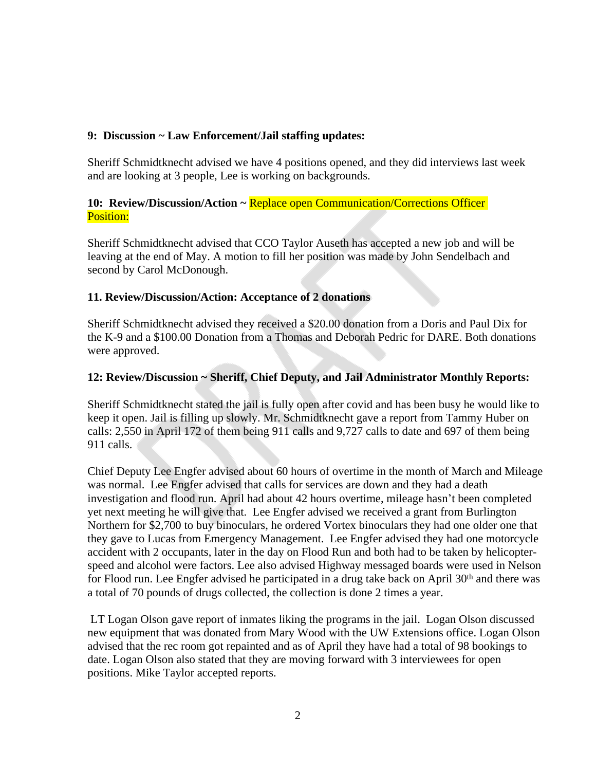### **9: Discussion ~ Law Enforcement/Jail staffing updates:**

Sheriff Schmidtknecht advised we have 4 positions opened, and they did interviews last week and are looking at 3 people, Lee is working on backgrounds.

### 10: Review/Discussion/Action ~ Replace open Communication/Corrections Officer Position:

Sheriff Schmidtknecht advised that CCO Taylor Auseth has accepted a new job and will be leaving at the end of May. A motion to fill her position was made by John Sendelbach and second by Carol McDonough.

# **11. Review/Discussion/Action: Acceptance of 2 donations**

Sheriff Schmidtknecht advised they received a \$20.00 donation from a Doris and Paul Dix for the K-9 and a \$100.00 Donation from a Thomas and Deborah Pedric for DARE. Both donations were approved.

# **12: Review/Discussion ~ Sheriff, Chief Deputy, and Jail Administrator Monthly Reports:**

Sheriff Schmidtknecht stated the jail is fully open after covid and has been busy he would like to keep it open. Jail is filling up slowly. Mr. Schmidtknecht gave a report from Tammy Huber on calls: 2,550 in April 172 of them being 911 calls and 9,727 calls to date and 697 of them being 911 calls.

Chief Deputy Lee Engfer advised about 60 hours of overtime in the month of March and Mileage was normal. Lee Engfer advised that calls for services are down and they had a death investigation and flood run. April had about 42 hours overtime, mileage hasn't been completed yet next meeting he will give that. Lee Engfer advised we received a grant from Burlington Northern for \$2,700 to buy binoculars, he ordered Vortex binoculars they had one older one that they gave to Lucas from Emergency Management. Lee Engfer advised they had one motorcycle accident with 2 occupants, later in the day on Flood Run and both had to be taken by helicopterspeed and alcohol were factors. Lee also advised Highway messaged boards were used in Nelson for Flood run. Lee Engfer advised he participated in a drug take back on April 30<sup>th</sup> and there was a total of 70 pounds of drugs collected, the collection is done 2 times a year.

LT Logan Olson gave report of inmates liking the programs in the jail. Logan Olson discussed new equipment that was donated from Mary Wood with the UW Extensions office. Logan Olson advised that the rec room got repainted and as of April they have had a total of 98 bookings to date. Logan Olson also stated that they are moving forward with 3 interviewees for open positions. Mike Taylor accepted reports.